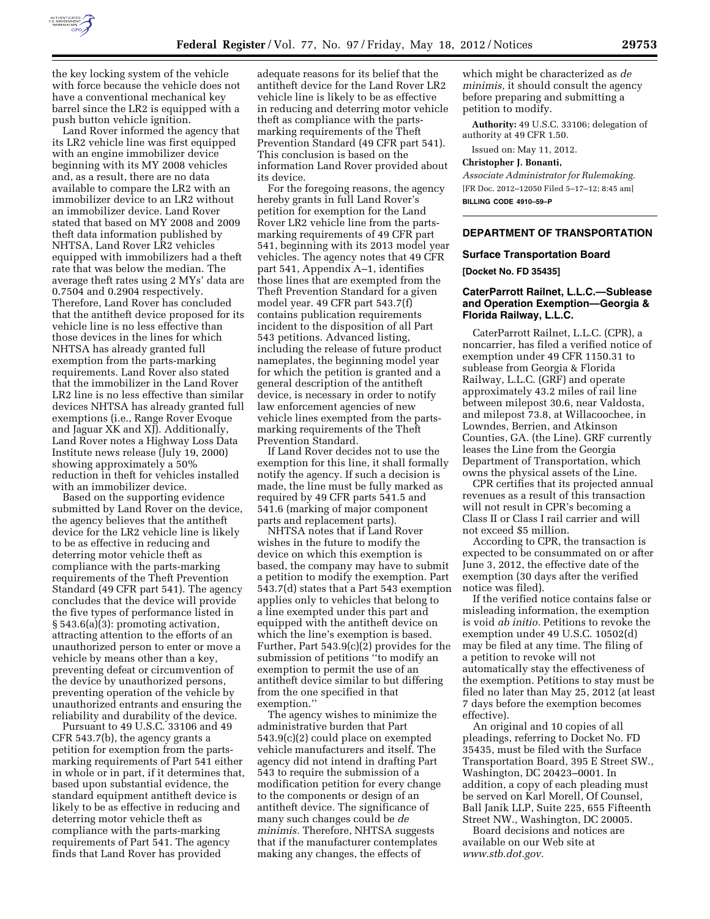

the key locking system of the vehicle with force because the vehicle does not have a conventional mechanical key barrel since the LR2 is equipped with a push button vehicle ignition.

Land Rover informed the agency that its LR2 vehicle line was first equipped with an engine immobilizer device beginning with its MY 2008 vehicles and, as a result, there are no data available to compare the LR2 with an immobilizer device to an LR2 without an immobilizer device. Land Rover stated that based on MY 2008 and 2009 theft data information published by NHTSA, Land Rover LR2 vehicles equipped with immobilizers had a theft rate that was below the median. The average theft rates using 2 MYs' data are 0.7504 and 0.2904 respectively. Therefore, Land Rover has concluded that the antitheft device proposed for its vehicle line is no less effective than those devices in the lines for which NHTSA has already granted full exemption from the parts-marking requirements. Land Rover also stated that the immobilizer in the Land Rover LR2 line is no less effective than similar devices NHTSA has already granted full exemptions (i.e., Range Rover Evoque and Jaguar XK and XJ). Additionally, Land Rover notes a Highway Loss Data Institute news release (July 19, 2000) showing approximately a 50% reduction in theft for vehicles installed with an immobilizer device.

Based on the supporting evidence submitted by Land Rover on the device, the agency believes that the antitheft device for the LR2 vehicle line is likely to be as effective in reducing and deterring motor vehicle theft as compliance with the parts-marking requirements of the Theft Prevention Standard (49 CFR part 541). The agency concludes that the device will provide the five types of performance listed in § 543.6(a)(3): promoting activation, attracting attention to the efforts of an unauthorized person to enter or move a vehicle by means other than a key, preventing defeat or circumvention of the device by unauthorized persons, preventing operation of the vehicle by unauthorized entrants and ensuring the reliability and durability of the device.

Pursuant to 49 U.S.C. 33106 and 49 CFR 543.7(b), the agency grants a petition for exemption from the partsmarking requirements of Part 541 either in whole or in part, if it determines that, based upon substantial evidence, the standard equipment antitheft device is likely to be as effective in reducing and deterring motor vehicle theft as compliance with the parts-marking requirements of Part 541. The agency finds that Land Rover has provided

adequate reasons for its belief that the antitheft device for the Land Rover LR2 vehicle line is likely to be as effective in reducing and deterring motor vehicle theft as compliance with the partsmarking requirements of the Theft Prevention Standard (49 CFR part 541). This conclusion is based on the information Land Rover provided about its device.

For the foregoing reasons, the agency hereby grants in full Land Rover's petition for exemption for the Land Rover LR2 vehicle line from the partsmarking requirements of 49 CFR part 541, beginning with its 2013 model year vehicles. The agency notes that 49 CFR part 541, Appendix A–1, identifies those lines that are exempted from the Theft Prevention Standard for a given model year. 49 CFR part 543.7(f) contains publication requirements incident to the disposition of all Part 543 petitions. Advanced listing, including the release of future product nameplates, the beginning model year for which the petition is granted and a general description of the antitheft device, is necessary in order to notify law enforcement agencies of new vehicle lines exempted from the partsmarking requirements of the Theft Prevention Standard.

If Land Rover decides not to use the exemption for this line, it shall formally notify the agency. If such a decision is made, the line must be fully marked as required by 49 CFR parts 541.5 and 541.6 (marking of major component parts and replacement parts).

NHTSA notes that if Land Rover wishes in the future to modify the device on which this exemption is based, the company may have to submit a petition to modify the exemption. Part 543.7(d) states that a Part 543 exemption applies only to vehicles that belong to a line exempted under this part and equipped with the antitheft device on which the line's exemption is based. Further, Part 543.9(c)(2) provides for the submission of petitions ''to modify an exemption to permit the use of an antitheft device similar to but differing from the one specified in that exemption.''

The agency wishes to minimize the administrative burden that Part 543.9(c)(2) could place on exempted vehicle manufacturers and itself. The agency did not intend in drafting Part 543 to require the submission of a modification petition for every change to the components or design of an antitheft device. The significance of many such changes could be *de minimis.* Therefore, NHTSA suggests that if the manufacturer contemplates making any changes, the effects of

which might be characterized as *de minimis,* it should consult the agency before preparing and submitting a petition to modify.

**Authority:** 49 U.S.C. 33106; delegation of authority at 49 CFR 1.50.

Issued on: May 11, 2012.

#### **Christopher J. Bonanti,**

*Associate Administrator for Rulemaking.*  [FR Doc. 2012–12050 Filed 5–17–12; 8:45 am] **BILLING CODE 4910–59–P** 

### **DEPARTMENT OF TRANSPORTATION**

### **Surface Transportation Board**

**[Docket No. FD 35435]** 

## **CaterParrott Railnet, L.L.C.—Sublease and Operation Exemption—Georgia & Florida Railway, L.L.C.**

CaterParrott Railnet, L.L.C. (CPR), a noncarrier, has filed a verified notice of exemption under 49 CFR 1150.31 to sublease from Georgia & Florida Railway, L.L.C. (GRF) and operate approximately 43.2 miles of rail line between milepost 30.6, near Valdosta, and milepost 73.8, at Willacoochee, in Lowndes, Berrien, and Atkinson Counties, GA. (the Line). GRF currently leases the Line from the Georgia Department of Transportation, which owns the physical assets of the Line.

CPR certifies that its projected annual revenues as a result of this transaction will not result in CPR's becoming a Class II or Class I rail carrier and will not exceed \$5 million.

According to CPR, the transaction is expected to be consummated on or after June 3, 2012, the effective date of the exemption (30 days after the verified notice was filed).

If the verified notice contains false or misleading information, the exemption is void *ab initio.* Petitions to revoke the exemption under 49 U.S.C. 10502(d) may be filed at any time. The filing of a petition to revoke will not automatically stay the effectiveness of the exemption. Petitions to stay must be filed no later than May 25, 2012 (at least 7 days before the exemption becomes effective).

An original and 10 copies of all pleadings, referring to Docket No. FD 35435, must be filed with the Surface Transportation Board, 395 E Street SW., Washington, DC 20423–0001. In addition, a copy of each pleading must be served on Karl Morell, Of Counsel, Ball Janik LLP, Suite 225, 655 Fifteenth Street NW., Washington, DC 20005.

Board decisions and notices are available on our Web site at *[www.stb.dot.gov.](http://www.stb.dot.gov)*